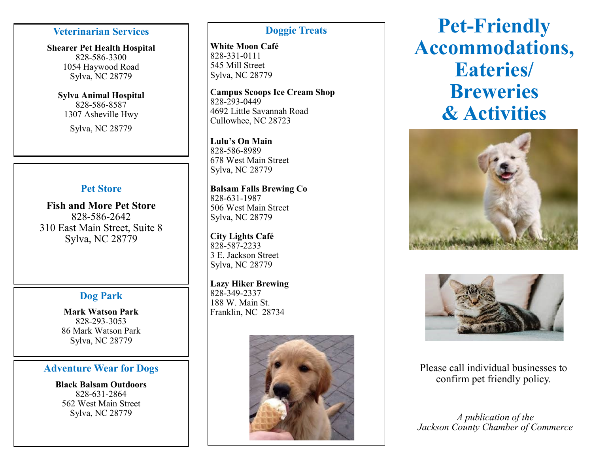### **Veterinarian Services**

**Shearer Pet Health Hospital** 828 -586 -3300 1054 Haywood Road Sylva, NC 28779

**Sylva Animal Hospital** 828 -586 -8587 1307 Asheville Hwy

Sylva, NC 28779

# **Pet Store**

**Fish and More Pet Store** 828 -586 -2642 310 East Main Street, Suite 8 Sylva, NC 28779

# **Dog Park**

**Mark Watson Park** 828 -293 -3053 86 Mark Watson Park Sylva, NC 28779

### **Adventure Wear for Dogs**

**Black Balsam Outdoors**  828 -631 -2864 562 West Main Street Sylva, NC 28779

## **Doggie Treats**

**White Moon Café**  828 -331 -0111 545 Mill Street Sylva, NC 28779

**Campus Scoops Ice Cream Shop**  828 -293 -0449 4692 Little Savannah Road Cullowhee, NC 28723

**Lulu 's On Main** 828 -586 -8989 678 West Main Street Sylva, NC 28779

**Balsam Falls Brewing Co** 828 -631 -1987 506 West Main Street Sylva, NC 28779

**City Lights Café**  828 -587 -2233 3 E. Jackson Street Sylva, NC 28779

**Lazy Hiker Brewing** 828 -349 -2337 188 W. Main St. Franklin, NC 28734



# **Pet -Friendly Accommodations, Eateries/ Breweries & Activities**





Please call individual businesses to confirm pet friendly policy.

*A publication of the Jackson County Chamber of Commerce*